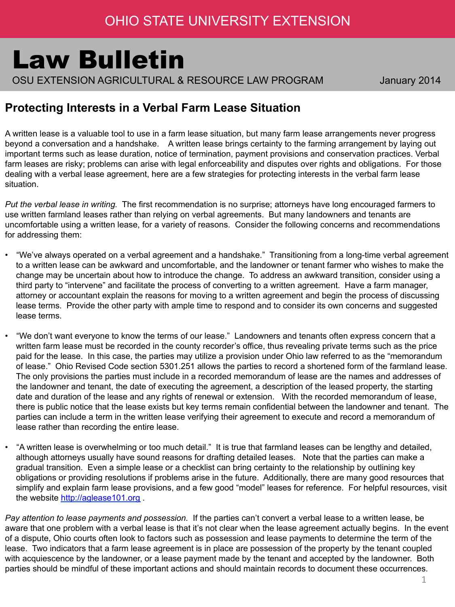## Law Bulletin

OSU EXTENSION AGRICULTURAL & RESOURCE LAW PROGRAM January 2014

## **Protecting Interests in a Verbal Farm Lease Situation**

A written lease is a valuable tool to use in a farm lease situation, but many farm lease arrangements never progress beyond a conversation and a handshake. A written lease brings certainty to the farming arrangement by laying out important terms such as lease duration, notice of termination, payment provisions and conservation practices. Verbal farm leases are risky; problems can arise with legal enforceability and disputes over rights and obligations. For those dealing with a verbal lease agreement, here are a few strategies for protecting interests in the verbal farm lease situation.

*Put the verbal lease in writing.* The first recommendation is no surprise; attorneys have long encouraged farmers to use written farmland leases rather than relying on verbal agreements. But many landowners and tenants are uncomfortable using a written lease, for a variety of reasons. Consider the following concerns and recommendations for addressing them:

- "We've always operated on a verbal agreement and a handshake." Transitioning from a long-time verbal agreement to a written lease can be awkward and uncomfortable, and the landowner or tenant farmer who wishes to make the change may be uncertain about how to introduce the change. To address an awkward transition, consider using a third party to "intervene" and facilitate the process of converting to a written agreement. Have a farm manager, attorney or accountant explain the reasons for moving to a written agreement and begin the process of discussing lease terms. Provide the other party with ample time to respond and to consider its own concerns and suggested lease terms.
- "We don't want everyone to know the terms of our lease." Landowners and tenants often express concern that a written farm lease must be recorded in the county recorder's office, thus revealing private terms such as the price paid for the lease. In this case, the parties may utilize a provision under Ohio law referred to as the "memorandum of lease." Ohio Revised Code section 5301.251 allows the parties to record a shortened form of the farmland lease. The only provisions the parties must include in a recorded memorandum of lease are the names and addresses of the landowner and tenant, the date of executing the agreement, a description of the leased property, the starting date and duration of the lease and any rights of renewal or extension. With the recorded memorandum of lease, there is public notice that the lease exists but key terms remain confidential between the landowner and tenant. The parties can include a term in the written lease verifying their agreement to execute and record a memorandum of lease rather than recording the entire lease.
- "A written lease is overwhelming or too much detail." It is true that farmland leases can be lengthy and detailed, although attorneys usually have sound reasons for drafting detailed leases. Note that the parties can make a gradual transition. Even a simple lease or a checklist can bring certainty to the relationship by outlining key obligations or providing resolutions if problems arise in the future. Additionally, there are many good resources that simplify and explain farm lease provisions, and a few good "model" leases for reference. For helpful resources, visit the website http://aglease101.org .

*Pay attention to lease payments and possession.* If the parties can't convert a verbal lease to a written lease, be aware that one problem with a verbal lease is that it's not clear when the lease agreement actually begins. In the event of a dispute, Ohio courts often look to factors such as possession and lease payments to determine the term of the lease. Two indicators that a farm lease agreement is in place are possession of the property by the tenant coupled with acquiescence by the landowner, or a lease payment made by the tenant and accepted by the landowner. Both parties should be mindful of these important actions and should maintain records to document these occurrences.